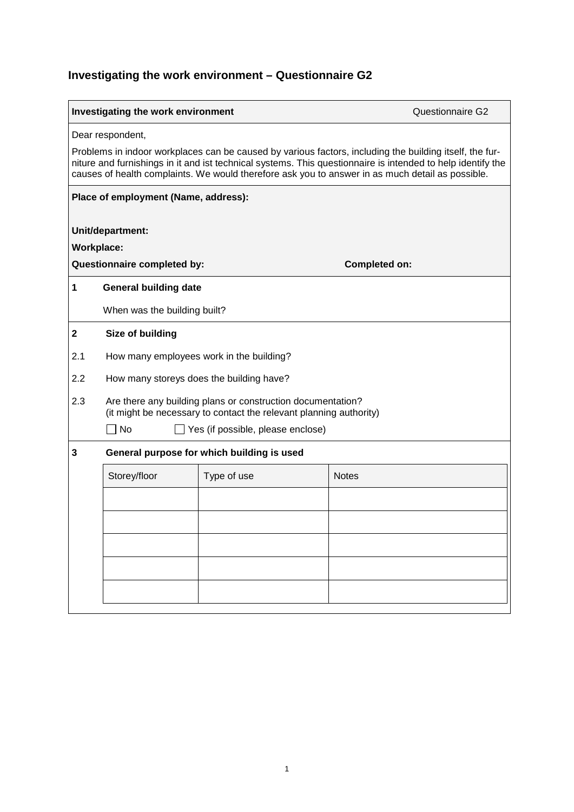## **Investigating the work environment – Questionnaire G2**

| <b>Investigating the work environment</b><br><b>Questionnaire G2</b>                                                                                                                                                                                                                                                       |                                                                                                                                   |             |              |  |
|----------------------------------------------------------------------------------------------------------------------------------------------------------------------------------------------------------------------------------------------------------------------------------------------------------------------------|-----------------------------------------------------------------------------------------------------------------------------------|-------------|--------------|--|
| Dear respondent,                                                                                                                                                                                                                                                                                                           |                                                                                                                                   |             |              |  |
| Problems in indoor workplaces can be caused by various factors, including the building itself, the fur-<br>niture and furnishings in it and ist technical systems. This questionnaire is intended to help identify the<br>causes of health complaints. We would therefore ask you to answer in as much detail as possible. |                                                                                                                                   |             |              |  |
| Place of employment (Name, address):                                                                                                                                                                                                                                                                                       |                                                                                                                                   |             |              |  |
| Unit/department:                                                                                                                                                                                                                                                                                                           |                                                                                                                                   |             |              |  |
| <b>Workplace:</b>                                                                                                                                                                                                                                                                                                          |                                                                                                                                   |             |              |  |
| Questionnaire completed by:<br><b>Completed on:</b>                                                                                                                                                                                                                                                                        |                                                                                                                                   |             |              |  |
| 1                                                                                                                                                                                                                                                                                                                          | <b>General building date</b>                                                                                                      |             |              |  |
|                                                                                                                                                                                                                                                                                                                            | When was the building built?                                                                                                      |             |              |  |
| $\mathbf 2$                                                                                                                                                                                                                                                                                                                | Size of building                                                                                                                  |             |              |  |
| 2.1                                                                                                                                                                                                                                                                                                                        | How many employees work in the building?                                                                                          |             |              |  |
| 2.2                                                                                                                                                                                                                                                                                                                        | How many storeys does the building have?                                                                                          |             |              |  |
| 2.3                                                                                                                                                                                                                                                                                                                        | Are there any building plans or construction documentation?<br>(it might be necessary to contact the relevant planning authority) |             |              |  |
|                                                                                                                                                                                                                                                                                                                            | No<br>Yes (if possible, please enclose)                                                                                           |             |              |  |
| 3                                                                                                                                                                                                                                                                                                                          | General purpose for which building is used                                                                                        |             |              |  |
|                                                                                                                                                                                                                                                                                                                            | Storey/floor                                                                                                                      | Type of use | <b>Notes</b> |  |
|                                                                                                                                                                                                                                                                                                                            |                                                                                                                                   |             |              |  |
|                                                                                                                                                                                                                                                                                                                            |                                                                                                                                   |             |              |  |
|                                                                                                                                                                                                                                                                                                                            |                                                                                                                                   |             |              |  |
|                                                                                                                                                                                                                                                                                                                            |                                                                                                                                   |             |              |  |
|                                                                                                                                                                                                                                                                                                                            |                                                                                                                                   |             |              |  |
|                                                                                                                                                                                                                                                                                                                            |                                                                                                                                   |             |              |  |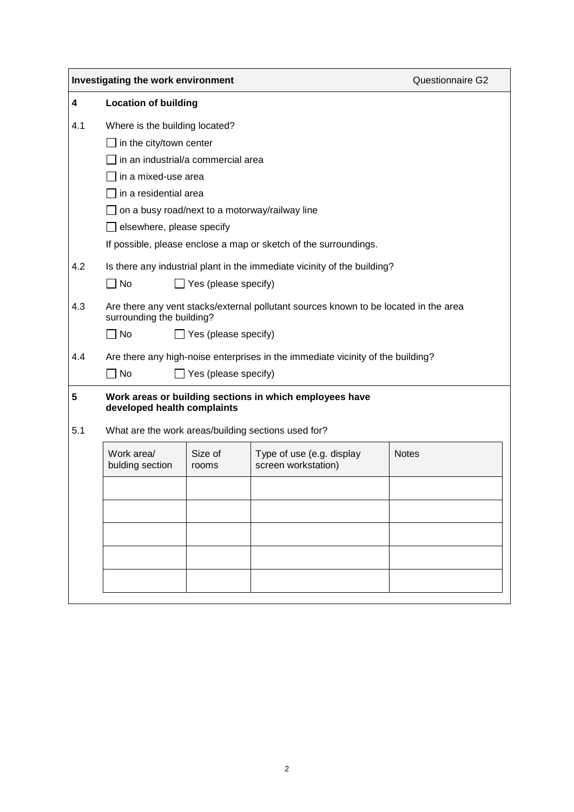| Investigating the work environment |                                                                                                                                                                 |                             |                                                  | <b>Questionnaire G2</b> |  |  |
|------------------------------------|-----------------------------------------------------------------------------------------------------------------------------------------------------------------|-----------------------------|--------------------------------------------------|-------------------------|--|--|
| 4                                  | <b>Location of building</b>                                                                                                                                     |                             |                                                  |                         |  |  |
| 4.1                                | Where is the building located?                                                                                                                                  |                             |                                                  |                         |  |  |
|                                    | in the city/town center                                                                                                                                         |                             |                                                  |                         |  |  |
|                                    | in an industrial/a commercial area                                                                                                                              |                             |                                                  |                         |  |  |
|                                    | in a mixed-use area                                                                                                                                             |                             |                                                  |                         |  |  |
|                                    | in a residential area                                                                                                                                           |                             |                                                  |                         |  |  |
|                                    | on a busy road/next to a motorway/railway line                                                                                                                  |                             |                                                  |                         |  |  |
|                                    | elsewhere, please specify                                                                                                                                       |                             |                                                  |                         |  |  |
|                                    | If possible, please enclose a map or sketch of the surroundings.                                                                                                |                             |                                                  |                         |  |  |
| 4.2                                | Is there any industrial plant in the immediate vicinity of the building?                                                                                        |                             |                                                  |                         |  |  |
|                                    | $\Box$ No                                                                                                                                                       | $\Box$ Yes (please specify) |                                                  |                         |  |  |
| 4.3                                | Are there any vent stacks/external pollutant sources known to be located in the area<br>surrounding the building?<br>$\sqcap$ No<br>$\Box$ Yes (please specify) |                             |                                                  |                         |  |  |
| 4.4                                |                                                                                                                                                                 |                             |                                                  |                         |  |  |
|                                    | Are there any high-noise enterprises in the immediate vicinity of the building?<br>∣No<br>Yes (please specify)                                                  |                             |                                                  |                         |  |  |
| 5                                  | Work areas or building sections in which employees have<br>developed health complaints                                                                          |                             |                                                  |                         |  |  |
| 5.1                                | What are the work areas/building sections used for?                                                                                                             |                             |                                                  |                         |  |  |
|                                    | Work area/<br>bulding section                                                                                                                                   | Size of<br>rooms            | Type of use (e.g. display<br>screen workstation) | <b>Notes</b>            |  |  |
|                                    |                                                                                                                                                                 |                             |                                                  |                         |  |  |
|                                    |                                                                                                                                                                 |                             |                                                  |                         |  |  |
|                                    |                                                                                                                                                                 |                             |                                                  |                         |  |  |
|                                    |                                                                                                                                                                 |                             |                                                  |                         |  |  |
|                                    |                                                                                                                                                                 |                             |                                                  |                         |  |  |
|                                    |                                                                                                                                                                 |                             |                                                  |                         |  |  |
|                                    |                                                                                                                                                                 |                             |                                                  |                         |  |  |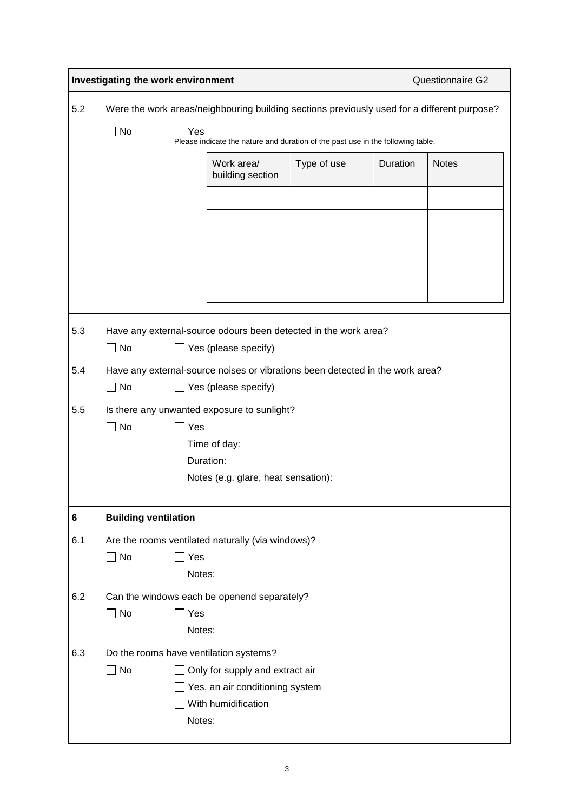|     | Investigating the work environment                                                                          |                             |                                                   |             | Questionnaire G2 |              |
|-----|-------------------------------------------------------------------------------------------------------------|-----------------------------|---------------------------------------------------|-------------|------------------|--------------|
| 5.2 | Were the work areas/neighbouring building sections previously used for a different purpose?                 |                             |                                                   |             |                  |              |
|     | $\Box$ No<br>Yes<br>Please indicate the nature and duration of the past use in the following table.         |                             |                                                   |             |                  |              |
|     |                                                                                                             |                             | Work area/<br>building section                    | Type of use | Duration         | <b>Notes</b> |
|     |                                                                                                             |                             |                                                   |             |                  |              |
|     |                                                                                                             |                             |                                                   |             |                  |              |
|     |                                                                                                             |                             |                                                   |             |                  |              |
|     |                                                                                                             |                             |                                                   |             |                  |              |
|     |                                                                                                             |                             |                                                   |             |                  |              |
| 5.3 | Have any external-source odours been detected in the work area?<br>$\Box$ No<br>$\Box$ Yes (please specify) |                             |                                                   |             |                  |              |
| 5.4 | Have any external-source noises or vibrations been detected in the work area?                               |                             |                                                   |             |                  |              |
|     | $\square$ No<br>$\Box$ Yes (please specify)                                                                 |                             |                                                   |             |                  |              |
| 5.5 | Is there any unwanted exposure to sunlight?<br>No<br>$\exists$ Yes<br>Time of day:                          |                             |                                                   |             |                  |              |
|     | Duration:                                                                                                   |                             |                                                   |             |                  |              |
|     | Notes (e.g. glare, heat sensation):                                                                         |                             |                                                   |             |                  |              |
| 6   |                                                                                                             | <b>Building ventilation</b> |                                                   |             |                  |              |
| 6.1 |                                                                                                             |                             | Are the rooms ventilated naturally (via windows)? |             |                  |              |
|     | $\Box$ No                                                                                                   | Yes<br>Notes:               |                                                   |             |                  |              |
| 6.2 | Can the windows each be openend separately?                                                                 |                             |                                                   |             |                  |              |
|     | $\square$ No                                                                                                | $\Box$ Yes<br>Notes:        |                                                   |             |                  |              |
| 6.3 |                                                                                                             |                             | Do the rooms have ventilation systems?            |             |                  |              |
|     | $\Box$ No                                                                                                   |                             | Only for supply and extract air                   |             |                  |              |
|     | Yes, an air conditioning system<br>With humidification                                                      |                             |                                                   |             |                  |              |
|     |                                                                                                             | Notes:                      |                                                   |             |                  |              |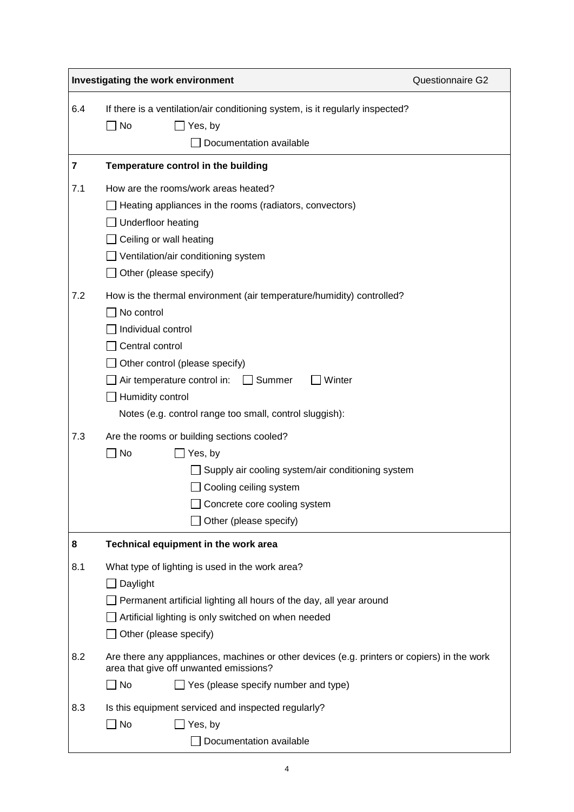|     | Investigating the work environment                                                                                                                                                                                                                                                                   | Questionnaire G2 |  |  |
|-----|------------------------------------------------------------------------------------------------------------------------------------------------------------------------------------------------------------------------------------------------------------------------------------------------------|------------------|--|--|
| 6.4 | If there is a ventilation/air conditioning system, is it regularly inspected?<br>$\square$ No<br>$\Box$ Yes, by<br>Documentation available                                                                                                                                                           |                  |  |  |
| 7   | Temperature control in the building                                                                                                                                                                                                                                                                  |                  |  |  |
| 7.1 | How are the rooms/work areas heated?<br>Heating appliances in the rooms (radiators, convectors)<br>Underfloor heating<br>Ceiling or wall heating<br>Ventilation/air conditioning system<br>$\Box$ Other (please specify)                                                                             |                  |  |  |
| 7.2 | How is the thermal environment (air temperature/humidity) controlled?<br>No control<br>Individual control<br>Central control<br>Other control (please specify)<br>Air temperature control in: $\Box$ Summer<br>Winter<br>Humidity control<br>Notes (e.g. control range too small, control sluggish): |                  |  |  |
| 7.3 | Are the rooms or building sections cooled?<br>$\Box$ No<br>Yes, by<br>Supply air cooling system/air conditioning system<br>Cooling ceiling system<br>□ Concrete core cooling system<br>Other (please specify)                                                                                        |                  |  |  |
| 8   | Technical equipment in the work area                                                                                                                                                                                                                                                                 |                  |  |  |
| 8.1 | What type of lighting is used in the work area?<br>Daylight<br>Permanent artificial lighting all hours of the day, all year around<br>Artificial lighting is only switched on when needed<br>Other (please specify)                                                                                  |                  |  |  |
| 8.2 | Are there any apppliances, machines or other devices (e.g. printers or copiers) in the work<br>area that give off unwanted emissions?<br>$\Box$ Yes (please specify number and type)<br>  No                                                                                                         |                  |  |  |
| 8.3 | Is this equipment serviced and inspected regularly?<br>$\Box$ No<br>Yes, by<br>Documentation available                                                                                                                                                                                               |                  |  |  |